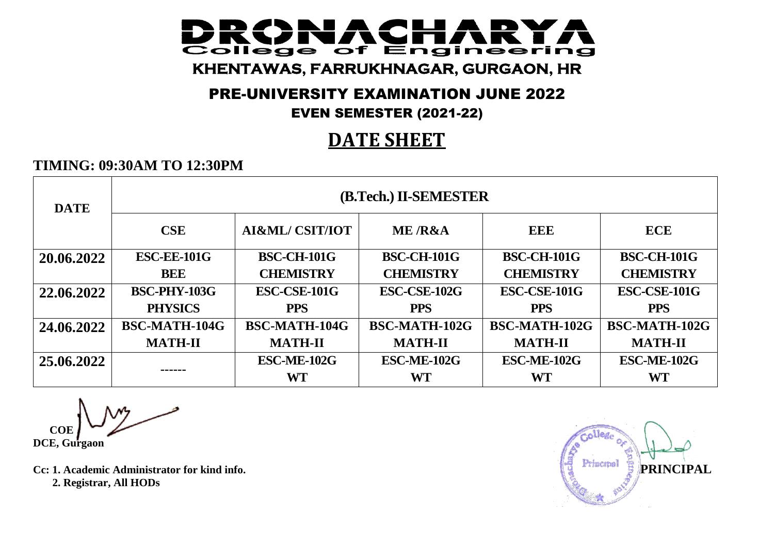#### IACH **DOM:** College of Engineering **KHENTAWAS, FARRUKHNAGAR, GURGAON, HR**

## PRE-UNIVERSITY EXAMINATION JUNE 2022

### EVEN SEMESTER (2021-22)

# **DATE SHEET**

### **TIMING: 09:30AM TO 12:30PM**

| <b>DATE</b> | (B.Tech.) II-SEMESTER |                            |                    |                    |                      |  |  |  |
|-------------|-----------------------|----------------------------|--------------------|--------------------|----------------------|--|--|--|
|             | <b>CSE</b>            | <b>AI&amp;ML/ CSIT/IOT</b> | <b>ME /R&amp;A</b> | EEE                | <b>ECE</b>           |  |  |  |
| 20.06.2022  | <b>ESC-EE-101G</b>    | <b>BSC-CH-101G</b>         | <b>BSC-CH-101G</b> | <b>BSC-CH-101G</b> | <b>BSC-CH-101G</b>   |  |  |  |
|             | <b>BEE</b>            | <b>CHEMISTRY</b>           | <b>CHEMISTRY</b>   | <b>CHEMISTRY</b>   | <b>CHEMISTRY</b>     |  |  |  |
| 22.06.2022  | <b>BSC-PHY-103G</b>   | ESC-CSE-101G               | ESC-CSE-102G       | ESC-CSE-101G       | ESC-CSE-101G         |  |  |  |
|             | <b>PHYSICS</b>        | <b>PPS</b>                 | <b>PPS</b>         | <b>PPS</b>         | <b>PPS</b>           |  |  |  |
| 24.06.2022  | <b>BSC-MATH-104G</b>  | <b>BSC-MATH-104G</b>       | BSC-MATH-102G      | BSC-MATH-102G      | <b>BSC-MATH-102G</b> |  |  |  |
|             | <b>MATH-II</b>        | <b>MATH-II</b>             | <b>MATH-II</b>     | <b>MATH-II</b>     | <b>MATH-II</b>       |  |  |  |
| 25.06.2022  |                       | ESC-ME-102G                | ESC-ME-102G        | <b>ESC-ME-102G</b> | ESC-ME-102G          |  |  |  |
|             | ------                | <b>WT</b>                  | WT                 | WT                 | <b>WT</b>            |  |  |  |

 **COE DCE, Gurgaon**

 **2. Registrar, All HODs**

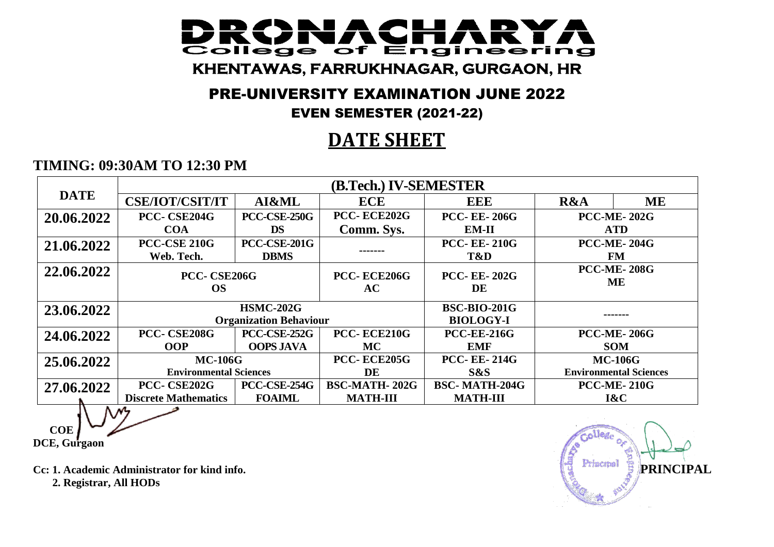#### IACI **DOM:** College of Engineering **KHENTAWAS, FARRUKHNAGAR, GURGAON, HR**

## PRE-UNIVERSITY EXAMINATION JUNE 2022

### EVEN SEMESTER (2021-22)

# **DATE SHEET**

### **TIMING: 09:30AM TO 12:30 PM**

|             | (B.Tech.) IV-SEMESTER         |                               |                      |                      |                                 |                    |
|-------------|-------------------------------|-------------------------------|----------------------|----------------------|---------------------------------|--------------------|
| <b>DATE</b> | <b>CSE/IOT/CSIT/IT</b>        | AI&ML                         | <b>ECE</b>           | <b>EEE</b>           | R&A                             | <b>ME</b>          |
| 20.06.2022  | PCC-CSE204G                   | <b>PCC-CSE-250G</b>           | PCC-ECE202G          | <b>PCC-EE-206G</b>   | <b>PCC-ME-202G</b>              |                    |
|             | <b>COA</b>                    | <b>DS</b>                     | Comm. Sys.           | $EM-II$              | <b>ATD</b>                      |                    |
| 21.06.2022  | <b>PCC-CSE 210G</b>           | <b>PCC-CSE-201G</b>           | -------              | <b>PCC-EE-210G</b>   | <b>PCC-ME-204G</b><br><b>FM</b> |                    |
|             | Web. Tech.                    | <b>DBMS</b>                   |                      | T&D                  |                                 |                    |
| 22.06.2022  | PCC-CSE206G                   |                               | PCC-ECE206G          | <b>PCC-EE-202G</b>   | <b>PCC-ME-208G</b><br>ME        |                    |
|             | <b>OS</b>                     |                               | AC                   | DE                   |                                 |                    |
|             |                               |                               |                      |                      |                                 |                    |
| 23.06.2022  |                               | <b>HSMC-202G</b>              | <b>BSC-BIO-201G</b>  |                      |                                 |                    |
|             |                               | <b>Organization Behaviour</b> |                      | <b>BIOLOGY-I</b>     |                                 |                    |
| 24.06.2022  | PCC-CSE208G                   | <b>PCC-CSE-252G</b>           | PCC-ECE210G          | <b>PCC-EE-216G</b>   |                                 | <b>PCC-ME-206G</b> |
|             | <b>OOP</b>                    | <b>OOPS JAVA</b>              | <b>MC</b>            | <b>EMF</b>           |                                 | <b>SOM</b>         |
| 25.06.2022  | <b>MC-106G</b>                |                               | PCC-ECE205G          | <b>PCC-EE-214G</b>   | <b>MC-106G</b>                  |                    |
|             | <b>Environmental Sciences</b> |                               | DE                   | S&S                  | <b>Environmental Sciences</b>   |                    |
| 27.06.2022  | PCC- CSE202G                  | PCC-CSE-254G                  | <b>BSC-MATH-202G</b> | <b>BSC-MATH-204G</b> |                                 | <b>PCC-ME-210G</b> |
|             | <b>Discrete Mathematics</b>   | <b>FOAIML</b>                 | <b>MATH-III</b>      | <b>MATH-III</b>      |                                 | 1&C                |
| እሥታ         |                               |                               |                      |                      |                                 |                    |

 **COE DCE, Gurgaon**

 **2. Registrar, All HODs**

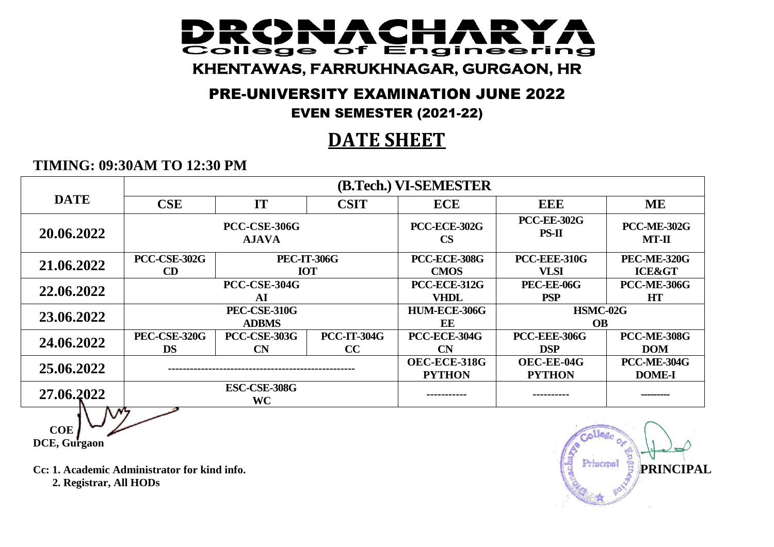#### IACH **DOM:** College of Engineering **KHENTAWAS, FARRUKHNAGAR, GURGAON, HR**

## PRE-UNIVERSITY EXAMINATION JUNE 2022

### EVEN SEMESTER (2021-22)

# **DATE SHEET**

### **TIMING: 09:30AM TO 12:30 PM**

|             | (B.Tech.) VI-SEMESTER                     |                     |                    |                                      |                               |                               |
|-------------|-------------------------------------------|---------------------|--------------------|--------------------------------------|-------------------------------|-------------------------------|
| <b>DATE</b> | <b>CSE</b>                                | IT                  | <b>CSIT</b>        | <b>ECE</b>                           | <b>EEE</b>                    | <b>ME</b>                     |
| 20.06.2022  | <b>PCC-CSE-306G</b><br><b>AJAVA</b>       |                     |                    | <b>PCC-ECE-302G</b><br>$\mathbf{CS}$ | <b>PCC-EE-302G</b><br>$PS-II$ | <b>PCC-ME-302G</b><br>$MT-II$ |
| 21.06.2022  | <b>PCC-CSE-302G</b><br><b>PEC-IT-306G</b> |                     |                    | <b>PCC-ECE-308G</b>                  | PCC-EEE-310G                  | <b>PEC-ME-320G</b>            |
|             | CD                                        |                     | <b>IOT</b>         | <b>CMOS</b>                          | <b>VLSI</b>                   | <b>ICE&gt;</b>                |
| 22.06.2022  | PCC-CSE-304G                              |                     |                    | PCC-ECE-312G                         | PEC-EE-06G                    | <b>PCC-ME-306G</b>            |
|             |                                           | AI                  |                    | <b>VHDL</b>                          | <b>PSP</b>                    | <b>HT</b>                     |
| 23.06.2022  | PEC-CSE-310G                              |                     |                    | HUM-ECE-306G                         | HSMC-02G                      |                               |
|             |                                           | <b>ADBMS</b>        |                    | EE                                   | <b>OB</b>                     |                               |
| 24,06,2022  | <b>PEC-CSE-320G</b>                       | <b>PCC-CSE-303G</b> | <b>PCC-IT-304G</b> | PCC-ECE-304G                         | <b>PCC-EEE-306G</b>           | <b>PCC-ME-308G</b>            |
|             | <b>DS</b>                                 | CN                  | CC                 | CN                                   | <b>DSP</b>                    | <b>DOM</b>                    |
|             |                                           |                     |                    | OEC-ECE-318G                         | OEC-EE-04G                    | <b>PCC-ME-304G</b>            |
| 25.06.2022  |                                           |                     |                    | <b>PYTHON</b>                        | <b>PYTHON</b>                 | <b>DOME-I</b>                 |
| 27.06.2022  | <b>ESC-CSE-308G</b><br><b>WC</b>          |                     |                    | -----------                          | ----------                    | ---------                     |
|             | $\mathcal{N}_{7}$                         |                     |                    |                                      |                               |                               |

 **COE DCE, Gurgaon**

 **2. Registrar, All HODs**

**Cc: 1. Academic Administrator for kind info. PRINCIPAL**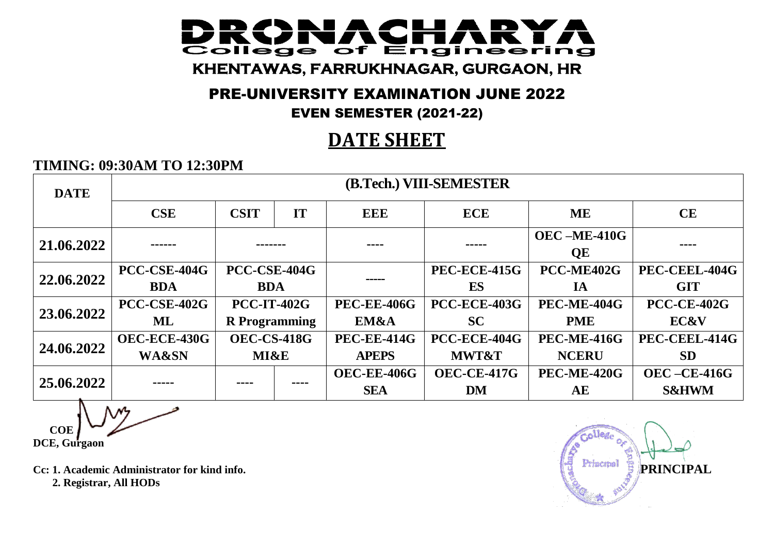#### IACI **Contract Contract**  $\overline{\phantom{a}}$ **College** Engineering  $\overline{\text{of}}$ **KHENTAWAS, FARRUKHNAGAR, GURGAON, HR**

## PRE-UNIVERSITY EXAMINATION JUNE 2022

### EVEN SEMESTER (2021-22)

# **DATE SHEET**

### **TIMING: 09:30AM TO 12:30PM**

| <b>DATE</b> |                     | (B.Tech.) VIII-SEMESTER |    |                    |                     |                              |                    |
|-------------|---------------------|-------------------------|----|--------------------|---------------------|------------------------------|--------------------|
|             | <b>CSE</b>          | <b>CSIT</b>             | IT | EEE                | <b>ECE</b>          | <b>ME</b>                    | CE                 |
| 21.06.2022  |                     |                         |    | ----               |                     | $OEC - ME-410G$<br><b>QE</b> | ----               |
| 22.06.2022  | <b>PCC-CSE-404G</b> | PCC-CSE-404G            |    |                    | <b>PEC-ECE-415G</b> | PCC-ME402G                   | PEC-CEEL-404G      |
|             | <b>BDA</b>          | <b>BDA</b>              |    |                    | ES                  | IA                           | <b>GIT</b>         |
|             | PCC-CSE-402G        | <b>PCC-IT-402G</b>      |    | <b>PEC-EE-406G</b> | <b>PCC-ECE-403G</b> | <b>PEC-ME-404G</b>           | <b>PCC-CE-402G</b> |
| 23.06.2022  | ML                  | <b>R</b> Programming    |    | EM&A               | <b>SC</b>           | <b>PME</b>                   | <b>EC&amp;V</b>    |
| 24.06.2022  | OEC-ECE-430G        | <b>OEC-CS-418G</b>      |    | <b>PEC-EE-414G</b> | PCC-ECE-404G        | <b>PEC-ME-416G</b>           | PEC-CEEL-414G      |
|             | <b>WA&amp;SN</b>    | <b>MI&amp;E</b>         |    | <b>APEPS</b>       | <b>MWT&amp;T</b>    | <b>NCERU</b>                 | <b>SD</b>          |
| 25.06.2022  |                     |                         |    | <b>OEC-EE-406G</b> | <b>OEC-CE-417G</b>  | <b>PEC-ME-420G</b>           | $OEC - CE-416G$    |
|             |                     |                         |    | <b>SEA</b>         | <b>DM</b>           | AE                           | <b>S&amp;HWM</b>   |

 **COE DCE, Gurgaon**

**Cc: 1. Academic Administrator for kind info. PRINCIPAL 2. Registrar, All HODs**